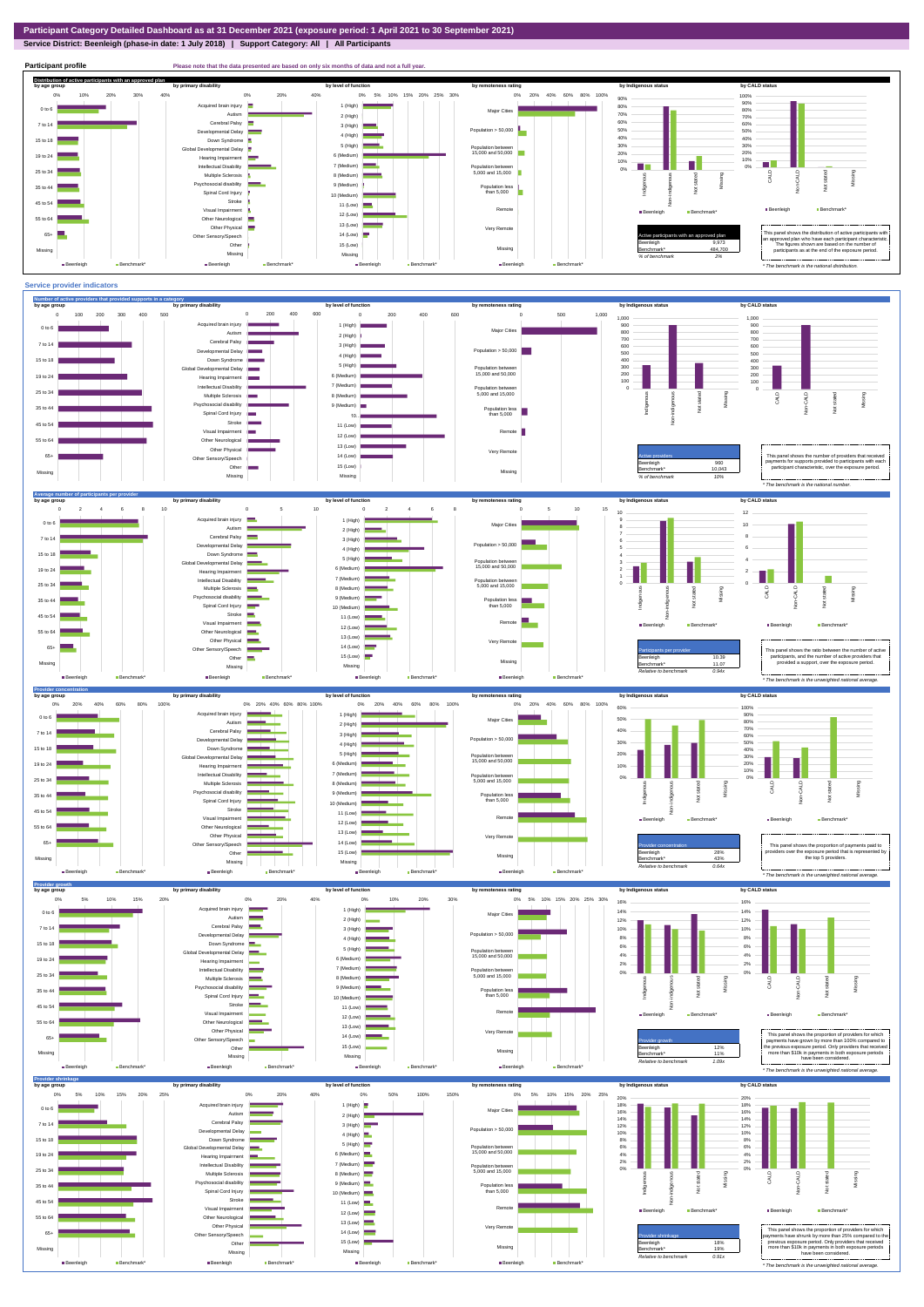## **Service District: Beenleigh (phase-in date: 1 July 2018) | Support Category: All | All Participants**



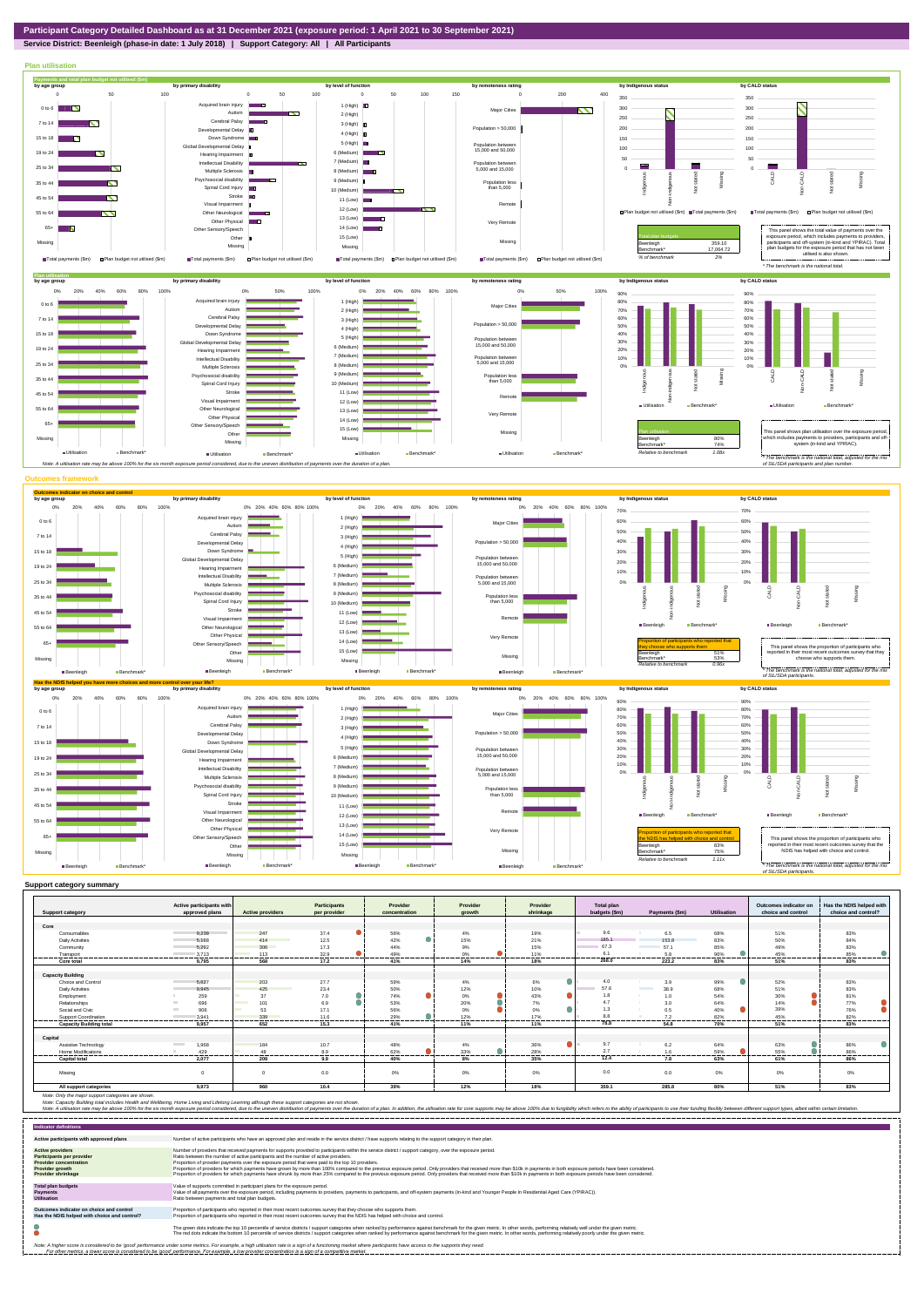## **Service District: Beenleigh (phase-in date: 1 July 2018) | Support Category: All | All Participants**



|                                | Active participants with          |                         | Participants | Provider      | Provider | Provider  | <b>Total plan</b> |                                  |             | Outcomes indicator on | Has the NDIS helped with |
|--------------------------------|-----------------------------------|-------------------------|--------------|---------------|----------|-----------|-------------------|----------------------------------|-------------|-----------------------|--------------------------|
| <b>Support category</b>        | approved plans                    | <b>Active providers</b> | per provider | concentration | arowth   | shrinkage | budgets (\$m)     | Payments (\$m)                   | Utilisation | choice and control    | choice and control?      |
|                                |                                   |                         |              |               |          |           |                   |                                  |             |                       |                          |
| Core                           |                                   |                         |              |               |          |           | 9.6               |                                  |             |                       |                          |
| Consumables                    | 9.238                             | 247                     | 37.4         | 56%           | 4%       | 19%       |                   | 6.5                              | 68%         | 51%                   | 83%                      |
| <b>Daily Activities</b>        | 5.188                             | 414                     | 12.5         | 42%           | 15%      | 21%       | 185.1             | 153.8                            | 83%         | 50%                   | 84%                      |
| Community                      | 5.292                             | 306                     | 17.3         | 44%           | 9%       | 15%       | 67.3              | 57.1                             | 85%         | 49%                   | 83%                      |
| Transport                      | 3.713                             | 113                     | 32.9         | 49%           | $0\%$    | 11%       | 6.1               | 5.8                              | 96%         | 45%                   | 85%                      |
| Core total                     | 9,795                             | 568                     | 17.2         | 41%           | 14%      | 18%       | 268.0             | 223.2                            | 83%         | 51%                   | 83%                      |
|                                |                                   |                         |              |               |          |           |                   |                                  |             |                       |                          |
| <b>Capacity Building</b>       |                                   |                         |              |               |          |           |                   |                                  |             |                       |                          |
| Choice and Control             | 5,627                             | 203                     | 27.7         | 59%           | 4%       | 6%        | 4.0               | 3.9                              | 99%         | 52%                   | 83%                      |
| <b>Daily Activities</b>        | 9.945                             | 425                     | 23.4         | 50%           | 12%      | 10%       | 57.6              | 38.9<br><b>Contract Contract</b> | 68%         | 51%                   | 83%                      |
| Employment                     | 259                               | 37                      | 7.0          | 74%           | $0\%$    | 43%       | 1.8               | 1.0                              | 54%         | 30%                   | 81%                      |
| Relationships                  | 696                               | 101                     | 6.9          | 53%           | 20%      | 7%        | 4.7               | 3.0                              | 64%         | 14%                   | 77%                      |
| Social and Civic               | 906<br><b>College</b>             | 53                      | 17.1         | 56%           | 0%       | 0%        | 1.3               | 0.5                              | 40%         | 39%                   | 76%                      |
| Support Coordination           | 3.941                             | 339                     | 11.6         | 29%           | 12%      | 17%       | 8.8               | 7.2                              | 82%         | 45%                   | 82%                      |
| <b>Capacity Building total</b> | 9.957                             | 652                     | .<br>15.3    | 41%           | 11%      | 11%       | 78.8              | 54.8                             | 70%         | .<br>51%              | 83%                      |
|                                |                                   |                         |              |               |          |           |                   |                                  |             |                       |                          |
| Capital                        |                                   |                         |              |               |          |           |                   |                                  |             |                       |                          |
| Assistive Technology           | 1,968<br><b>Contract Contract</b> | 184                     | 10.7         | 48%           | 4%       | 36%       | 9.7               | 6.2                              | 64%         | 63%                   | 86%                      |
| Home Modifications             | 429                               | 48                      | 8.9          | 62%           | 33%      | 28%       | 2.7               | 1.6                              | 59%         | 55%                   | 86%                      |
| <b>Capital total</b>           | 2.077                             | 209                     | 9.9          | 40%           | 8%       | 35%       | 12.4              | 7.8                              | 63%         | 61%                   | 86%                      |
|                                |                                   |                         |              |               |          |           |                   |                                  |             |                       |                          |
| Missina                        | $\Omega$                          |                         | 0.0          | 0%            | 0%       | 0%        | 0.0               | 0.0                              | 0%          | 0%                    | 0%                       |
|                                |                                   |                         |              |               |          |           |                   |                                  |             |                       |                          |
| All support categories         | 9.973                             | 960                     | 10.4         | 39%           | 12%      | 18%       | 359.1             | 285.8                            | 80%         | 51%                   | 83%                      |

Note: Only the major support categories are shown.<br>Note: Capacity Building total individual Wellbeing, Home Living and Lifelong Learning although these support categories are not shown.<br>Note: A utilisation rate may be abov

| <b>Indicator definitions</b>                                                                                                                        |                                                                                                                                                                                                                                                                                                                                                                                                                                                                                                                                                                                                                                                                                                                                                                                                                 |
|-----------------------------------------------------------------------------------------------------------------------------------------------------|-----------------------------------------------------------------------------------------------------------------------------------------------------------------------------------------------------------------------------------------------------------------------------------------------------------------------------------------------------------------------------------------------------------------------------------------------------------------------------------------------------------------------------------------------------------------------------------------------------------------------------------------------------------------------------------------------------------------------------------------------------------------------------------------------------------------|
| Active participants with approved plans                                                                                                             | Number of active participants who have an approved plan and reside in the service district / have supports relating to the support category in their plan.                                                                                                                                                                                                                                                                                                                                                                                                                                                                                                                                                                                                                                                      |
| <b>Active providers</b><br><b>Participants per provider</b><br><b>Provider concentration</b><br><b>Provider growth</b><br><b>Provider shrinkage</b> | Number of providers that received payments for supports provided to participants within the service district / support category, over the exposure period.<br>Ratio between the number of active participants and the number of active providers.<br>Proportion of provider payments over the exposure period that were paid to the top 10 providers.<br>Proportion of providers for which payments have grown by more than 100% compared to the previous exposure period. Only providers that received more than \$10k in payments in both exposure periods have been considered.<br>Proportion of providers for which payments have shrunk by more than 25% compared to the previous exposure period. Only providers that received more than \$10k in payments in both exposure periods have been considered. |
| <b>Total plan budgets</b><br>Payments<br><b>Utilisation</b>                                                                                         | Value of supports committed in participant plans for the exposure period.<br>Value of all payments over the exposure period, including payments to providers, payments to participants, and off-system payments (in-kind and Younger People In Residential Aged Care (YPIRAC)).<br>Ratio between payments and total plan budgets.                                                                                                                                                                                                                                                                                                                                                                                                                                                                               |
| Outcomes indicator on choice and control<br>Has the NDIS helped with choice and control?                                                            | Proportion of participants who reported in their most recent outcomes survey that they choose who supports them.<br>Proportion of participants who reported in their most recent outcomes survey that the NDIS has helped with choice and control.                                                                                                                                                                                                                                                                                                                                                                                                                                                                                                                                                              |
|                                                                                                                                                     | The green dots indicate the top 10 percentile of service districts / support categories when ranked by performance against benchmark for the given metric. In other words, performing relatively well under the given metric.<br>The red dots indicate the bottom 10 percentile of service districts / support categories when ranked by performance against benchmark for the given metric. In other words, performing relatively poorly under the given metri                                                                                                                                                                                                                                                                                                                                                 |
|                                                                                                                                                     | Note: A higher score is considered to be 'good' performance under some metrics. For example, a high utilisation rate is a sign of a functioning market where participants have access to the supports they need.<br>For other metrics, a lower score is considered to be 'good' performance. For example, a low provider concentration is a sign of a competitive market.                                                                                                                                                                                                                                                                                                                                                                                                                                       |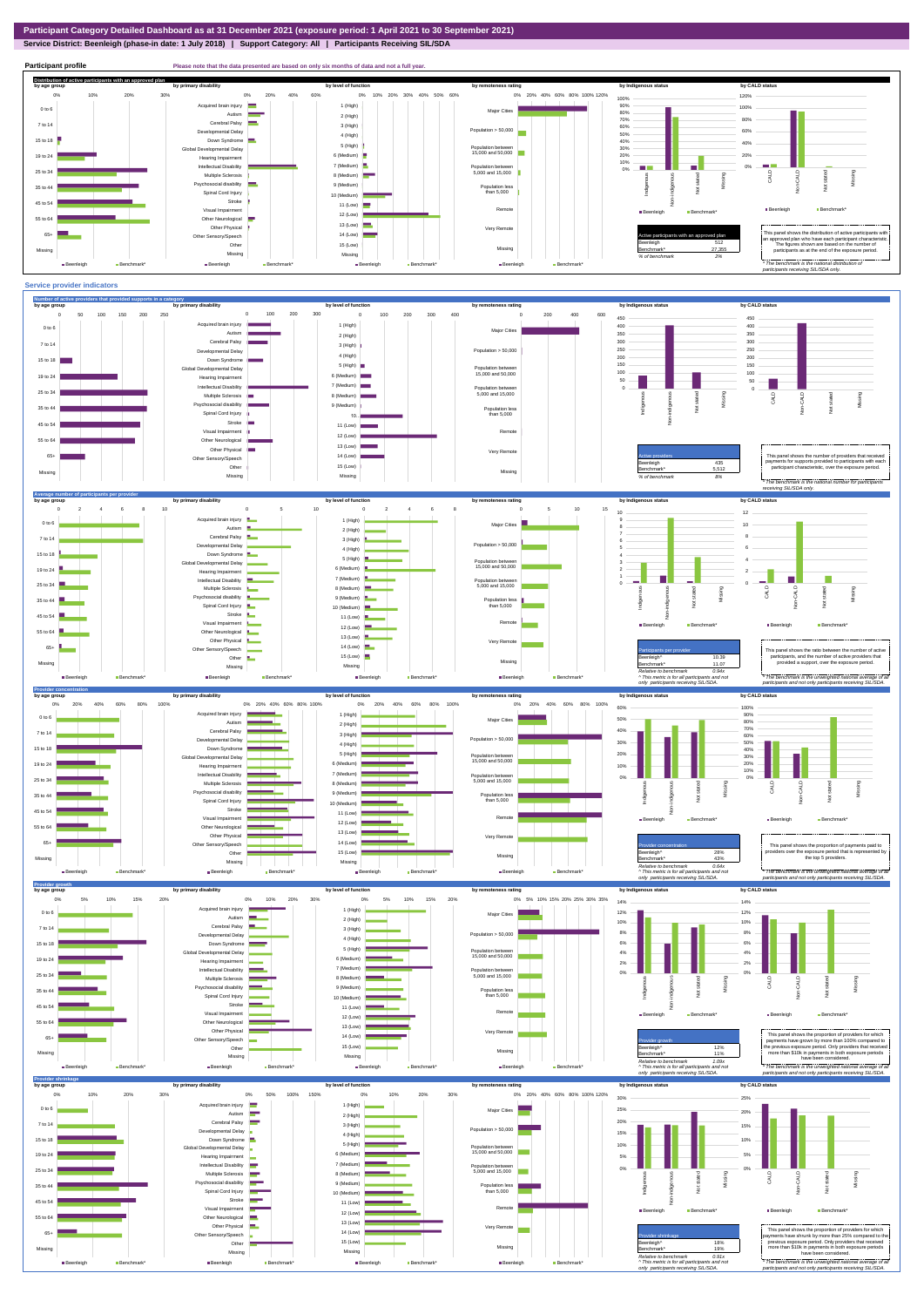**Service District: Beenleigh (phase-in date: 1 July 2018) | Support Category: All | Participants Receiving SIL/SDA**



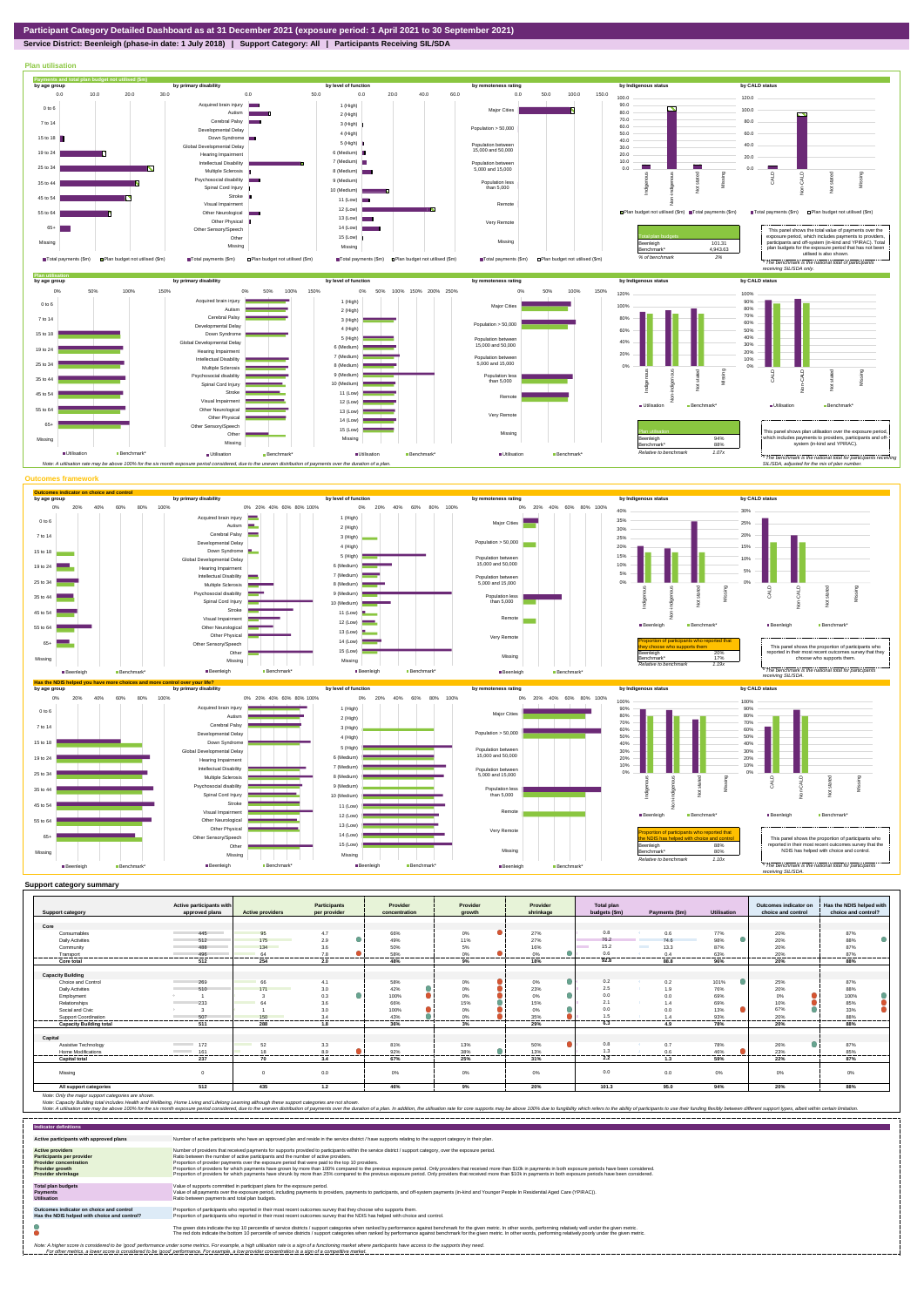

## **Service District: Beenleigh (phase-in date: 1 July 2018) | Support Category: All | Participants Receiving SIL/SDA**



|                                | Active participants with       |                         | <b>Participants</b> | Provider        | Provider          | Provider           | <b>Total plan</b> |                               |                    | Outcomes indicator on | Has the NDIS helped with |
|--------------------------------|--------------------------------|-------------------------|---------------------|-----------------|-------------------|--------------------|-------------------|-------------------------------|--------------------|-----------------------|--------------------------|
| <b>Support category</b>        | approved plans                 | <b>Active providers</b> | per provider        | concentration   | growth            | shrinkage          | budgets (\$m)     | Payments (\$m)                | <b>Utilisation</b> | choice and control    | choice and control?      |
|                                |                                |                         |                     |                 |                   |                    |                   |                               |                    |                       |                          |
| Core                           |                                |                         |                     |                 |                   |                    |                   |                               |                    |                       |                          |
| Consumables                    | 445                            | 95                      | 4.7                 | 66%             | $0\%$             | 27%                | 0.8               | 0.6                           | 77%                | 20%                   | 87%                      |
| <b>Daily Activities</b>        | 512                            | 175                     | 2.9                 | 49%             | 11%               | 27%                | 76.2              | 74.6                          | 98%                | 20%                   | 88%                      |
| Community                      | 488                            | 134                     | 3.6                 | 50%             | 5%                | 16%                | 15.2<br>$\sim$    | <b>Contract State</b><br>13.3 | 87%                | 20%                   | 87%                      |
| Transport                      | 496<br>--------------------    | 64<br>.                 | 7.8<br>.            | 58%<br>-------- | 0%<br>-------     | 0%                 | 0.6<br>--------   | 0.4<br>.                      | 63%<br>------      | 20%<br>.              | 87%<br>---------         |
| Core total                     | 512                            | 254                     | 2.0                 | 48%             | 9%                | 18%                | 92.8              | 88.8                          | 96%                | 20%                   | 88%                      |
|                                |                                |                         |                     |                 |                   |                    |                   |                               |                    |                       |                          |
| <b>Capacity Building</b>       |                                |                         |                     |                 |                   |                    |                   |                               |                    |                       |                          |
| Choice and Control             | 269                            | 66                      | 4.1                 | 58%             | $0\%$             | 0%                 | 0.2               | 0.2                           | 101%               | 25%                   | 87%                      |
| <b>Daily Activities</b>        | 510                            | 171                     | 3.0                 | 42%             | $0\%$             | 23%                | 2.5               | 1.9                           | 76%                | 20%                   | 88%                      |
| Employment                     |                                |                         | $\bullet$<br>0.3    | 100%            | $0\%$             | 0%                 | 0.0               |                               | 69%                | 0%                    | 100%                     |
| Relationships                  | 233                            | 64                      | 3.6                 | 66%             | 15%               | 15%                | 2.1               | 1.4                           | 69%                | 10%                   | 85%                      |
| Social and Civic               |                                |                         | 3.0                 | 100%            | $0\%$             | 0%                 | 0.0               | 0 <sub>0</sub>                | 13%                | 67%                   | 33%                      |
| <b>Support Coordination</b>    | 507<br>                        | 150<br>                 | 3.4<br>,,,,,,,,,,,  | 43%<br>.        | 0%<br>.<br>------ | 35%<br>----------- | 1.5<br>---------- | 1.4<br>--------               | 93%<br>            | 20%<br>               | 88%<br>----------        |
| <b>Capacity Building total</b> | 511                            | 288                     | 1.8                 | 36%             | 3%                | 29%                | 6.3               | 4.9                           | 78%                | 20%                   | 88%                      |
|                                |                                |                         |                     |                 |                   |                    |                   |                               |                    |                       |                          |
| Capital                        |                                |                         |                     |                 |                   |                    |                   |                               |                    |                       |                          |
| Assistive Technology           | 172<br>the control of the con- | 52                      | 3.3                 | 81%             | 13%               | 50%                | 0.8               | 0.7                           | 78%                | 26%                   | 87%                      |
| Home Modifications             | 161<br>the control of the      | 1.8<br>---------        | 8.9<br>.            | 92%<br>.        | 38%<br>.          | 13%<br>-------     | 1.3<br>.          | 0.6<br>                       | 46%<br>            | 23%<br>-------        | 85%<br>--------          |
| <b>Capital total</b>           | 237                            | 70                      | 3.4                 | 67%             | 25%               | 31%                | 2.2               | 1.3                           | 59%                | 22%                   | 87%                      |
|                                |                                |                         |                     |                 |                   |                    |                   |                               |                    |                       |                          |
| Missing                        | $\Omega$                       | $\Omega$                | 0.0                 | 0%              | 0%                | 0%                 | 0.0               | 0.0                           | 0%                 | 0%                    | 0%                       |
| All support categories         | 512                            | 435                     | 1.2                 | 46%             | 9%                | 20%                | 101.3             | 95.0                          | 94%                | 20%                   | 88%                      |

Note: Only the major support categories are shown.<br>Note: Capacity Building total individual Wellbeing, Home Living and Lifelong Learning although these support categories are not shown.<br>Note: A utilisation rate may be abov

| <b>Indicator definitions</b>                                                                                                                 |                                                                                                                                                                                                                                                                                                                                                                                                                                                                                                                                                                                                                                                                                                                                                                                                                 |
|----------------------------------------------------------------------------------------------------------------------------------------------|-----------------------------------------------------------------------------------------------------------------------------------------------------------------------------------------------------------------------------------------------------------------------------------------------------------------------------------------------------------------------------------------------------------------------------------------------------------------------------------------------------------------------------------------------------------------------------------------------------------------------------------------------------------------------------------------------------------------------------------------------------------------------------------------------------------------|
| Active participants with approved plans                                                                                                      | Number of active participants who have an approved plan and reside in the service district / have supports relating to the support category in their plan.                                                                                                                                                                                                                                                                                                                                                                                                                                                                                                                                                                                                                                                      |
| <b>Active providers</b><br><b>Participants per provider</b><br><b>Provider concentration</b><br>Provider growth<br><b>Provider shrinkage</b> | Number of providers that received payments for supports provided to participants within the service district / support category, over the exposure period.<br>Ratio between the number of active participants and the number of active providers.<br>Proportion of provider payments over the exposure period that were paid to the top 10 providers.<br>Proportion of providers for which payments have grown by more than 100% compared to the previous exposure period. Only providers that received more than \$10k in payments in both exposure periods have been considered.<br>Proportion of providers for which payments have shrunk by more than 25% compared to the previous exposure period. Only providers that received more than \$10k in payments in both exposure periods have been considered. |
| <b>Total plan budgets</b><br>Payments<br><b>Utilisation</b>                                                                                  | Value of supports committed in participant plans for the exposure period.<br>Value of all payments over the exposure period, including payments to providers, payments to participants, and off-system payments (in-kind and Younger People In Residential Aged Care (YPIRAC)).<br>Ratio between payments and total plan budgets.                                                                                                                                                                                                                                                                                                                                                                                                                                                                               |
| Outcomes indicator on choice and control<br>Has the NDIS helped with choice and control?                                                     | Proportion of participants who reported in their most recent outcomes survey that they choose who supports them.<br>Proportion of participants who reported in their most recent outcomes survey that the NDIS has helped with choice and control.                                                                                                                                                                                                                                                                                                                                                                                                                                                                                                                                                              |
|                                                                                                                                              | The green dots indicate the top 10 percentile of service districts / support categories when ranked by performance against benchmark for the given metric. In other words, performing relatively well under the given metric.<br>The red dots indicate the bottom 10 percentile of service districts / support categories when ranked by performance against benchmark for the given metric. In other words, performing relatively poorly under the given metri                                                                                                                                                                                                                                                                                                                                                 |
|                                                                                                                                              | Note: A higher score is considered to be 'good' performance under some metrics. For example, a high utilisation rate is a sign of a functioning market where participants have access to the supports they need.<br>For other metrics, a lower score is considered to be 'good' performance. For example, a low provider concentration is a sign of a competitive market.                                                                                                                                                                                                                                                                                                                                                                                                                                       |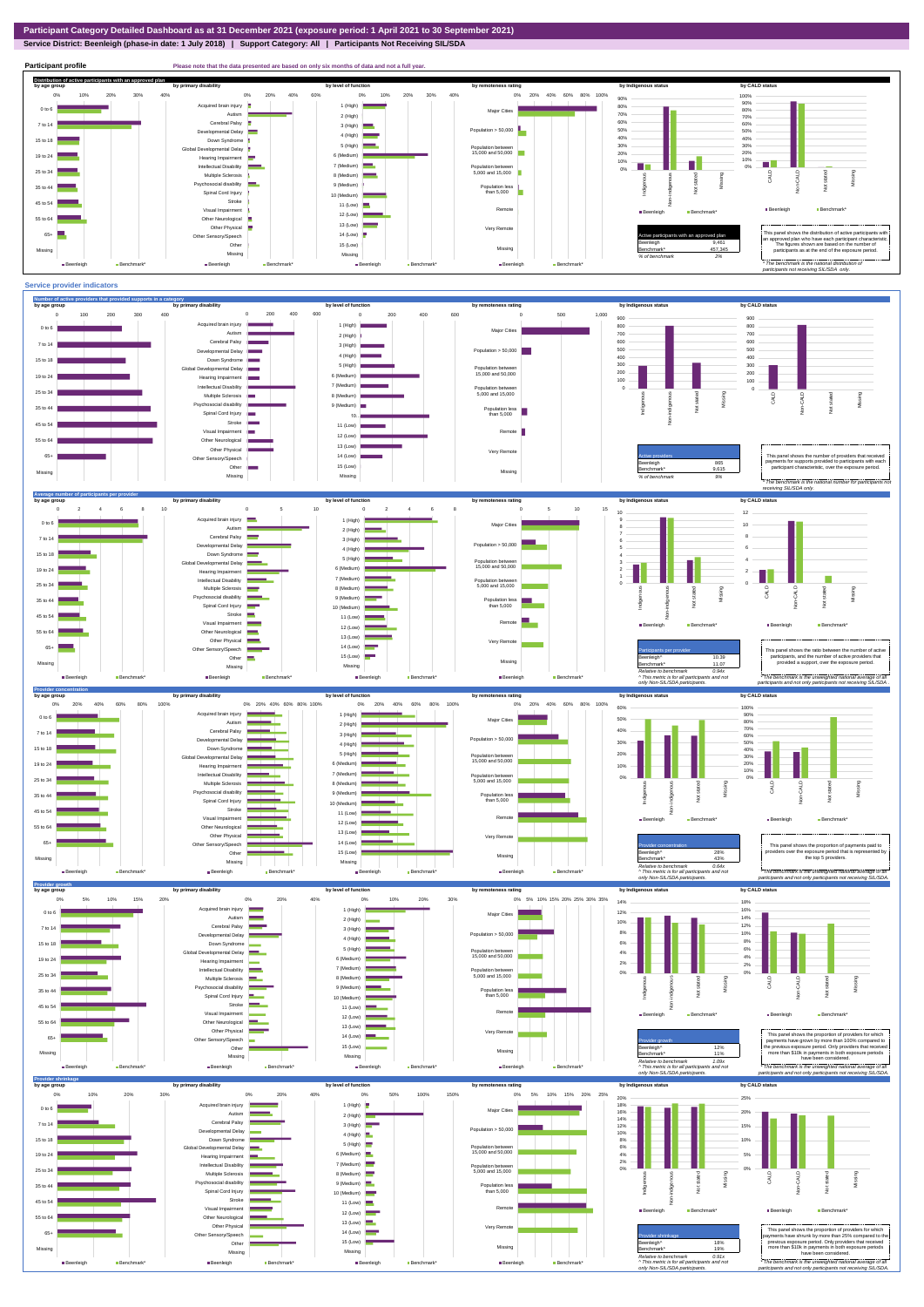**Service District: Beenleigh (phase-in date: 1 July 2018) | Support Category: All | Participants Not Receiving SIL/SDA**